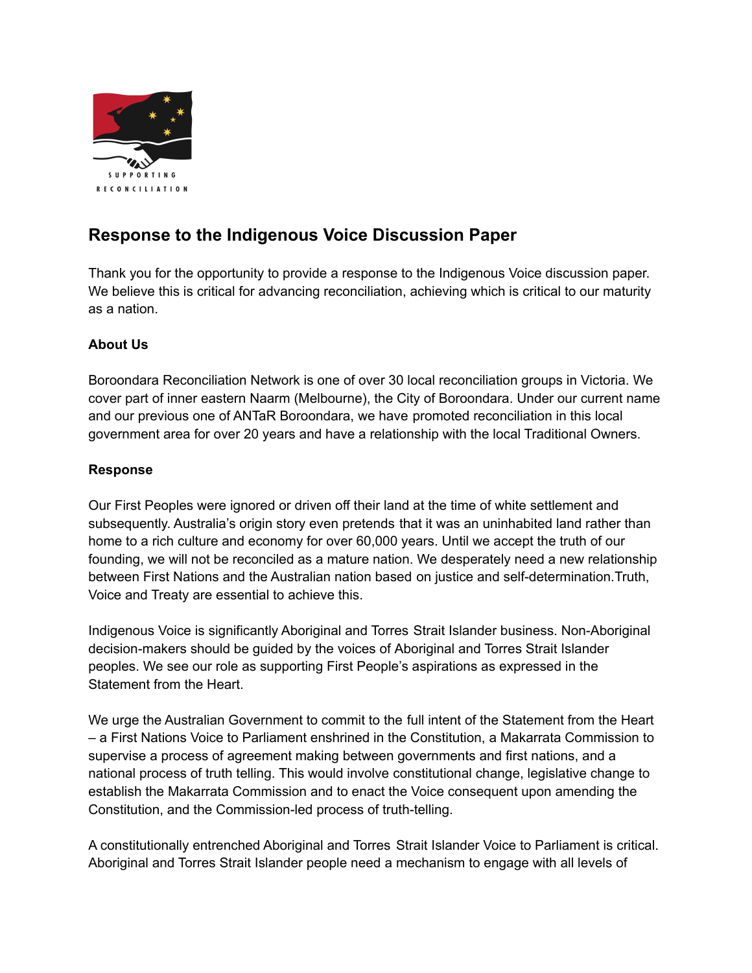

## **Response to the Indigenous Voice Discussion Paper**

 Thank you for the opportunity to provide a response to the Indigenous Voice discussion paper. We believe this is critical for advancing reconciliation, achieving which is critical to our maturity as a nation.

## **About Us**

 Boroondara Reconciliation Network is one of over 30 local reconciliation groups in Victoria. We cover part of inner eastern Naarm (Melbourne), the City of Boroondara. Under our current name and our previous one of ANTaR Boroondara, we have promoted reconciliation in this local government area for over 20 years and have a relationship with the local Traditional Owners.

## **Response**

 Our First Peoples were ignored or driven off their land at the time of white settlement and subsequently. Australia's origin story even pretends that it was an uninhabited land rather than home to a rich culture and economy for over 60,000 years. Until we accept the truth of our founding, we will not be reconciled as a mature nation. We desperately need a new relationship between First Nations and the Australian nation based on justice and self-determination.Truth, Voice and Treaty are essential to achieve this.

 Indigenous Voice is significantly Aboriginal and Torres Strait Islander business. Non-Aboriginal decision-makers should be guided by the voices of Aboriginal and Torres Strait Islander peoples. We see our role as supporting First People's aspirations as expressed in the Statement from the Heart.

 We urge the Australian Government to commit to the full intent of the Statement from the Heart – a First Nations Voice to Parliament enshrined in the Constitution, a Makarrata Commission to supervise a process of agreement making between governments and first nations, and a national process of truth telling. This would involve constitutional change, legislative change to establish the Makarrata Commission and to enact the Voice consequent upon amending the Constitution, and the Commission-led process of truth-telling.

 A constitutionally entrenched Aboriginal and Torres Strait Islander Voice to Parliament is critical. Aboriginal and Torres Strait Islander people need a mechanism to engage with all levels of